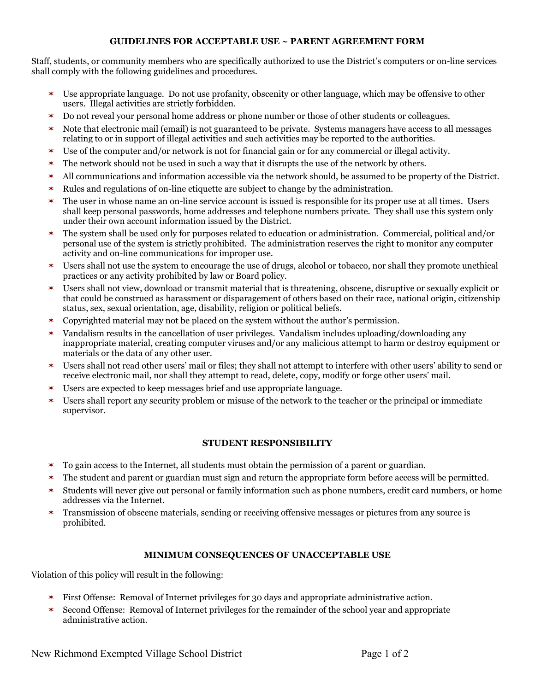## **GUIDELINES FOR ACCEPTABLE USE ~ PARENT AGREEMENT FORM**

Staff, students, or community members who are specifically authorized to use the District's computers or on-line services shall comply with the following guidelines and procedures.

- \* Use appropriate language. Do not use profanity, obscenity or other language, which may be offensive to other users. Illegal activities are strictly forbidden.
- \* Do not reveal your personal home address or phone number or those of other students or colleagues.
- \* Note that electronic mail (email) is not guaranteed to be private. Systems managers have access to all messages relating to or in support of illegal activities and such activities may be reported to the authorities.
- \* Use of the computer and/or network is not for financial gain or for any commercial or illegal activity.
- $\ast$ The network should not be used in such a way that it disrupts the use of the network by others.
- $\star$ All communications and information accessible via the network should, be assumed to be property of the District.
- $\ast$ Rules and regulations of on-line etiquette are subject to change by the administration.
- $\ast$ The user in whose name an on-line service account is issued is responsible for its proper use at all times. Users shall keep personal passwords, home addresses and telephone numbers private. They shall use this system only under their own account information issued by the District.
- $\ast$ The system shall be used only for purposes related to education or administration. Commercial, political and/or personal use of the system is strictly prohibited. The administration reserves the right to monitor any computer activity and on-line communications for improper use.
- \* Users shall not use the system to encourage the use of drugs, alcohol or tobacco, nor shall they promote unethical practices or any activity prohibited by law or Board policy.
- \* Users shall not view, download or transmit material that is threatening, obscene, disruptive or sexually explicit or that could be construed as harassment or disparagement of others based on their race, national origin, citizenship status, sex, sexual orientation, age, disability, religion or political beliefs.
- $\ast$ Copyrighted material may not be placed on the system without the author's permission.
- $\ast$ Vandalism results in the cancellation of user privileges. Vandalism includes uploading/downloading any inappropriate material, creating computer viruses and/or any malicious attempt to harm or destroy equipment or materials or the data of any other user.
- $\ast$ Users shall not read other users' mail or files; they shall not attempt to interfere with other users' ability to send or receive electronic mail, nor shall they attempt to read, delete, copy, modify or forge other users' mail.
- $\ast$ Users are expected to keep messages brief and use appropriate language.
- $\ast$ Users shall report any security problem or misuse of the network to the teacher or the principal or immediate supervisor.

## **STUDENT RESPONSIBILITY**

- $\ast$ To gain access to the Internet, all students must obtain the permission of a parent or guardian.
- $\ast$ The student and parent or guardian must sign and return the appropriate form before access will be permitted.
- $\ast$ Students will never give out personal or family information such as phone numbers, credit card numbers, or home addresses via the Internet.
- $\star$ Transmission of obscene materials, sending or receiving offensive messages or pictures from any source is prohibited.

## **MINIMUM CONSEQUENCES OF UNACCEPTABLE USE**

Violation of this policy will result in the following:

- \* First Offense: Removal of Internet privileges for 30 days and appropriate administrative action.
- $\ast$ Second Offense: Removal of Internet privileges for the remainder of the school year and appropriate administrative action.